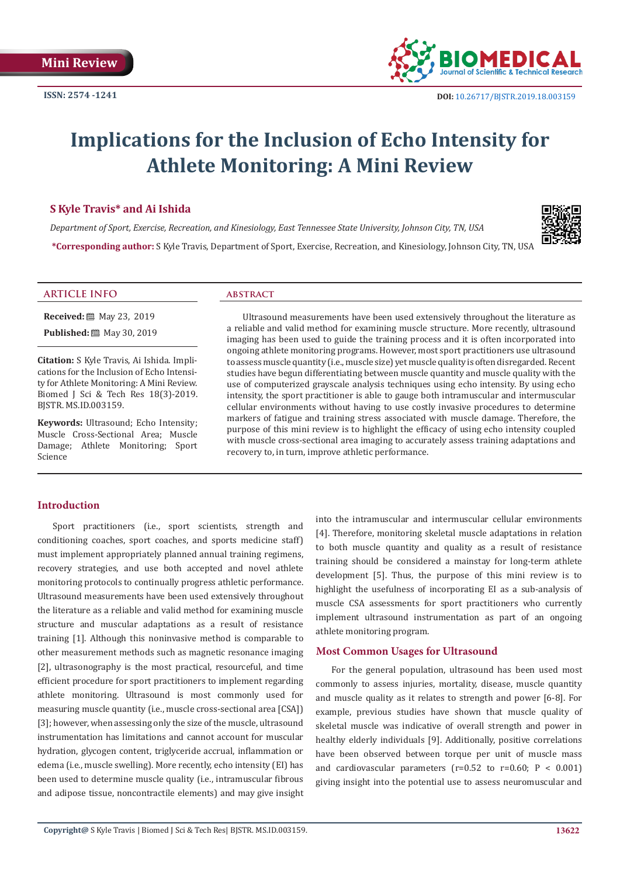

# **Implications for the Inclusion of Echo Intensity for Athlete Monitoring: A Mini Review**

# **S Kyle Travis\* and Ai Ishida**

*Department of Sport, Exercise, Recreation, and Kinesiology, East Tennessee State University, Johnson City, TN, USA* **\*Corresponding author:** S Kyle Travis, Department of Sport, Exercise, Recreation, and Kinesiology, Johnson City, TN, USA



### **ARTICLE INFO abstract**

**Received:** 圖 May 23, 2019 **Published:** ■ May 30, 2019

**Citation:** S Kyle Travis, Ai Ishida. Implications for the Inclusion of Echo Intensity for Athlete Monitoring: A Mini Review. Biomed J Sci & Tech Res 18(3)-2019. BJSTR. MS.ID.003159.

**Keywords:** Ultrasound; Echo Intensity; Muscle Cross-Sectional Area; Muscle Damage; Athlete Monitoring; Sport Science

Ultrasound measurements have been used extensively throughout the literature as a reliable and valid method for examining muscle structure. More recently, ultrasound imaging has been used to guide the training process and it is often incorporated into ongoing athlete monitoring programs. However, most sport practitioners use ultrasound to assess muscle quantity (i.e., muscle size) yet muscle quality is often disregarded. Recent studies have begun differentiating between muscle quantity and muscle quality with the use of computerized grayscale analysis techniques using echo intensity. By using echo intensity, the sport practitioner is able to gauge both intramuscular and intermuscular cellular environments without having to use costly invasive procedures to determine markers of fatigue and training stress associated with muscle damage. Therefore, the purpose of this mini review is to highlight the efficacy of using echo intensity coupled with muscle cross-sectional area imaging to accurately assess training adaptations and recovery to, in turn, improve athletic performance.

# **Introduction**

Sport practitioners (i.e., sport scientists, strength and conditioning coaches, sport coaches, and sports medicine staff) must implement appropriately planned annual training regimens, recovery strategies, and use both accepted and novel athlete monitoring protocols to continually progress athletic performance. Ultrasound measurements have been used extensively throughout the literature as a reliable and valid method for examining muscle structure and muscular adaptations as a result of resistance training [1]. Although this noninvasive method is comparable to other measurement methods such as magnetic resonance imaging [2], ultrasonography is the most practical, resourceful, and time efficient procedure for sport practitioners to implement regarding athlete monitoring. Ultrasound is most commonly used for measuring muscle quantity (i.e., muscle cross-sectional area [CSA]) [3]; however, when assessing only the size of the muscle, ultrasound instrumentation has limitations and cannot account for muscular hydration, glycogen content, triglyceride accrual, inflammation or edema (i.e., muscle swelling). More recently, echo intensity (EI) has been used to determine muscle quality (i.e., intramuscular fibrous and adipose tissue, noncontractile elements) and may give insight into the intramuscular and intermuscular cellular environments [4]. Therefore, monitoring skeletal muscle adaptations in relation to both muscle quantity and quality as a result of resistance training should be considered a mainstay for long-term athlete development [5]. Thus, the purpose of this mini review is to highlight the usefulness of incorporating EI as a sub-analysis of muscle CSA assessments for sport practitioners who currently implement ultrasound instrumentation as part of an ongoing athlete monitoring program.

# **Most Common Usages for Ultrasound**

For the general population, ultrasound has been used most commonly to assess injuries, mortality, disease, muscle quantity and muscle quality as it relates to strength and power [6-8]. For example, previous studies have shown that muscle quality of skeletal muscle was indicative of overall strength and power in healthy elderly individuals [9]. Additionally, positive correlations have been observed between torque per unit of muscle mass and cardiovascular parameters ( $r=0.52$  to  $r=0.60$ ;  $P < 0.001$ ) giving insight into the potential use to assess neuromuscular and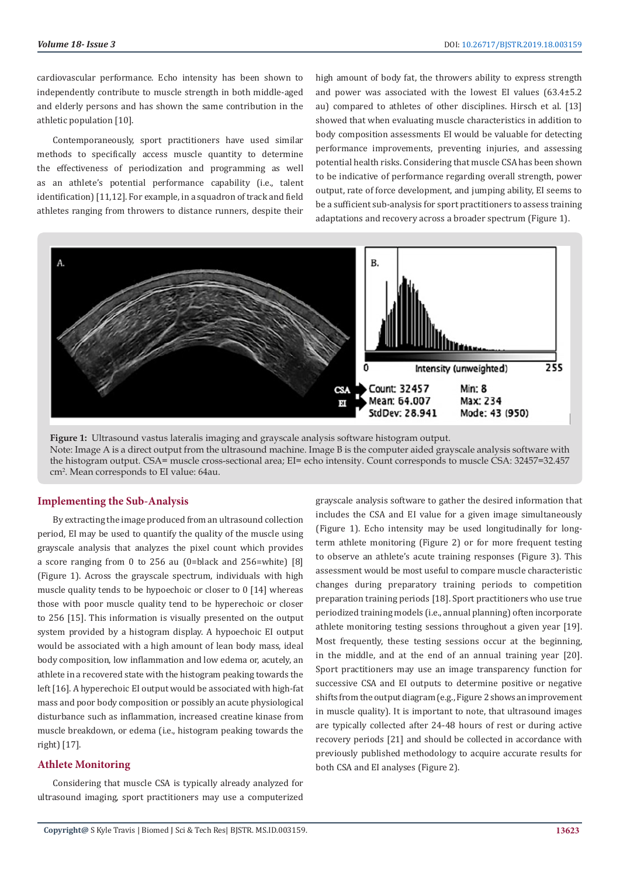cardiovascular performance. Echo intensity has been shown to independently contribute to muscle strength in both middle-aged and elderly persons and has shown the same contribution in the athletic population [10].

Contemporaneously, sport practitioners have used similar methods to specifically access muscle quantity to determine the effectiveness of periodization and programming as well as an athlete's potential performance capability (i.e., talent identification) [11,12]. For example, in a squadron of track and field athletes ranging from throwers to distance runners, despite their

high amount of body fat, the throwers ability to express strength and power was associated with the lowest EI values (63.4±5.2 au) compared to athletes of other disciplines. Hirsch et al. [13] showed that when evaluating muscle characteristics in addition to body composition assessments EI would be valuable for detecting performance improvements, preventing injuries, and assessing potential health risks. Considering that muscle CSA has been shown to be indicative of performance regarding overall strength, power output, rate of force development, and jumping ability, EI seems to be a sufficient sub-analysis for sport practitioners to assess training adaptations and recovery across a broader spectrum (Figure 1).



**Figure 1:** Ultrasound vastus lateralis imaging and grayscale analysis software histogram output. Note: Image A is a direct output from the ultrasound machine. Image B is the computer aided grayscale analysis software with the histogram output. CSA= muscle cross-sectional area; EI= echo intensity. Count corresponds to muscle CSA: 32457=32.457 cm2 . Mean corresponds to EI value: 64au.

### **Implementing the Sub-Analysis**

By extracting the image produced from an ultrasound collection period, EI may be used to quantify the quality of the muscle using grayscale analysis that analyzes the pixel count which provides a score ranging from 0 to 256 au (0=black and 256=white) [8] (Figure 1). Across the grayscale spectrum, individuals with high muscle quality tends to be hypoechoic or closer to 0 [14] whereas those with poor muscle quality tend to be hyperechoic or closer to 256 [15]. This information is visually presented on the output system provided by a histogram display. A hypoechoic EI output would be associated with a high amount of lean body mass, ideal body composition, low inflammation and low edema or, acutely, an athlete in a recovered state with the histogram peaking towards the left [16]. A hyperechoic EI output would be associated with high-fat mass and poor body composition or possibly an acute physiological disturbance such as inflammation, increased creatine kinase from muscle breakdown, or edema (i.e., histogram peaking towards the right) [17].

# **Athlete Monitoring**

Considering that muscle CSA is typically already analyzed for ultrasound imaging, sport practitioners may use a computerized

grayscale analysis software to gather the desired information that includes the CSA and EI value for a given image simultaneously (Figure 1). Echo intensity may be used longitudinally for longterm athlete monitoring (Figure 2) or for more frequent testing to observe an athlete's acute training responses (Figure 3). This assessment would be most useful to compare muscle characteristic changes during preparatory training periods to competition preparation training periods [18]. Sport practitioners who use true periodized training models (i.e., annual planning) often incorporate athlete monitoring testing sessions throughout a given year [19]. Most frequently, these testing sessions occur at the beginning, in the middle, and at the end of an annual training year [20]. Sport practitioners may use an image transparency function for successive CSA and EI outputs to determine positive or negative shifts from the output diagram (e.g., Figure 2 shows an improvement in muscle quality). It is important to note, that ultrasound images are typically collected after 24-48 hours of rest or during active recovery periods [21] and should be collected in accordance with previously published methodology to acquire accurate results for both CSA and EI analyses (Figure 2).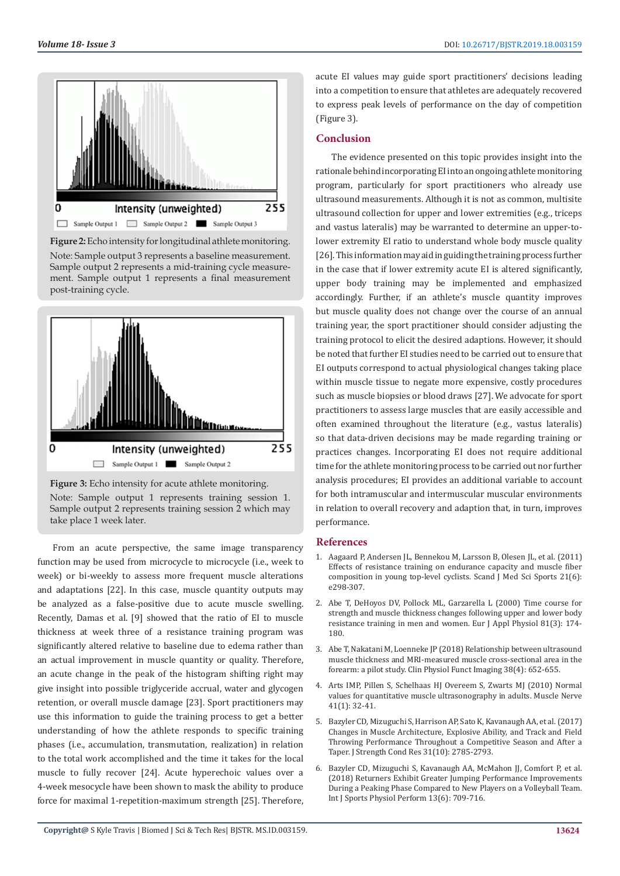

**Figure 2:** Echo intensity for longitudinal athlete monitoring.

Note: Sample output 3 represents a baseline measurement. Sample output 2 represents a mid-training cycle measurement. Sample output 1 represents a final measurement post-training cycle.





From an acute perspective, the same image transparency function may be used from microcycle to microcycle (i.e., week to week) or bi-weekly to assess more frequent muscle alterations and adaptations [22]. In this case, muscle quantity outputs may be analyzed as a false-positive due to acute muscle swelling. Recently, Damas et al. [9] showed that the ratio of EI to muscle thickness at week three of a resistance training program was significantly altered relative to baseline due to edema rather than an actual improvement in muscle quantity or quality. Therefore, an acute change in the peak of the histogram shifting right may give insight into possible triglyceride accrual, water and glycogen retention, or overall muscle damage [23]. Sport practitioners may use this information to guide the training process to get a better understanding of how the athlete responds to specific training phases (i.e., accumulation, transmutation, realization) in relation to the total work accomplished and the time it takes for the local muscle to fully recover [24]. Acute hyperechoic values over a 4-week mesocycle have been shown to mask the ability to produce force for maximal 1-repetition-maximum strength [25]. Therefore, acute EI values may guide sport practitioners' decisions leading into a competition to ensure that athletes are adequately recovered to express peak levels of performance on the day of competition (Figure 3).

# **Conclusion**

The evidence presented on this topic provides insight into the rationale behind incorporating EI into an ongoing athlete monitoring program, particularly for sport practitioners who already use ultrasound measurements. Although it is not as common, multisite ultrasound collection for upper and lower extremities (e.g., triceps and vastus lateralis) may be warranted to determine an upper-tolower extremity EI ratio to understand whole body muscle quality [26]. This information may aid in guiding the training process further in the case that if lower extremity acute EI is altered significantly, upper body training may be implemented and emphasized accordingly. Further, if an athlete's muscle quantity improves but muscle quality does not change over the course of an annual training year, the sport practitioner should consider adjusting the training protocol to elicit the desired adaptions. However, it should be noted that further EI studies need to be carried out to ensure that EI outputs correspond to actual physiological changes taking place within muscle tissue to negate more expensive, costly procedures such as muscle biopsies or blood draws [27]. We advocate for sport practitioners to assess large muscles that are easily accessible and often examined throughout the literature (e.g., vastus lateralis) so that data-driven decisions may be made regarding training or practices changes. Incorporating EI does not require additional time for the athlete monitoring process to be carried out nor further analysis procedures; EI provides an additional variable to account for both intramuscular and intermuscular muscular environments in relation to overall recovery and adaption that, in turn, improves performance.

### **References**

- 1. [Aagaard P, Andersen JL, Bennekou M, Larsson B, Olesen JL, et al. \(2011\)](https://www.ncbi.nlm.nih.gov/pubmed/21362056) [Effects of resistance training on endurance capacity and muscle fiber](https://www.ncbi.nlm.nih.gov/pubmed/21362056) [composition in young top-level cyclists. Scand J Med Sci Sports 21\(6\):](https://www.ncbi.nlm.nih.gov/pubmed/21362056) [e298-307.](https://www.ncbi.nlm.nih.gov/pubmed/21362056)
- 2. [Abe T, DeHoyos DV, Pollock ML, Garzarella L \(2000\) Time course for](https://www.ncbi.nlm.nih.gov/pubmed/10638374) [strength and muscle thickness changes following upper and lower body](https://www.ncbi.nlm.nih.gov/pubmed/10638374) [resistance training in men and women. Eur J Appl Physiol 81\(3\): 174-](https://www.ncbi.nlm.nih.gov/pubmed/10638374) [180.](https://www.ncbi.nlm.nih.gov/pubmed/10638374)
- 3. [Abe T, Nakatani M, Loenneke JP \(2018\) Relationship between ultrasound](https://www.ncbi.nlm.nih.gov/pubmed/28795485) [muscle thickness and MRI-measured muscle cross-sectional area in the](https://www.ncbi.nlm.nih.gov/pubmed/28795485) [forearm: a pilot study. Clin Physiol Funct Imaging 38\(4\): 652-655.](https://www.ncbi.nlm.nih.gov/pubmed/28795485)
- 4. [Arts IMP, Pillen S, Schelhaas HJ Overeem S, Zwarts MJ \(2010\) Normal](https://www.ncbi.nlm.nih.gov/pubmed/19722256) [values for quantitative muscle ultrasonography in adults. Muscle Nerve](https://www.ncbi.nlm.nih.gov/pubmed/19722256) [41\(1\): 32-41.](https://www.ncbi.nlm.nih.gov/pubmed/19722256)
- 5. [Bazyler CD, Mizuguchi S, Harrison AP, Sato K, Kavanaugh AA, et al. \(2017\)](https://www.ncbi.nlm.nih.gov/pubmed/27575250) [Changes in Muscle Architecture, Explosive Ability, and Track and Field](https://www.ncbi.nlm.nih.gov/pubmed/27575250) [Throwing Performance Throughout a Competitive Season and After a](https://www.ncbi.nlm.nih.gov/pubmed/27575250) [Taper. J Strength Cond Res 31\(10\): 2785-2793.](https://www.ncbi.nlm.nih.gov/pubmed/27575250)
- 6. [Bazyler CD, Mizuguchi S, Kavanaugh AA, McMahon JJ, Comfort P, et al.](https://www.ncbi.nlm.nih.gov/pubmed/29035592) [\(2018\) Returners Exhibit Greater Jumping Performance Improvements](https://www.ncbi.nlm.nih.gov/pubmed/29035592) [During a Peaking Phase Compared to New Players on a Volleyball Team.](https://www.ncbi.nlm.nih.gov/pubmed/29035592) [Int J Sports Physiol Perform 13\(6\): 709-716.](https://www.ncbi.nlm.nih.gov/pubmed/29035592)